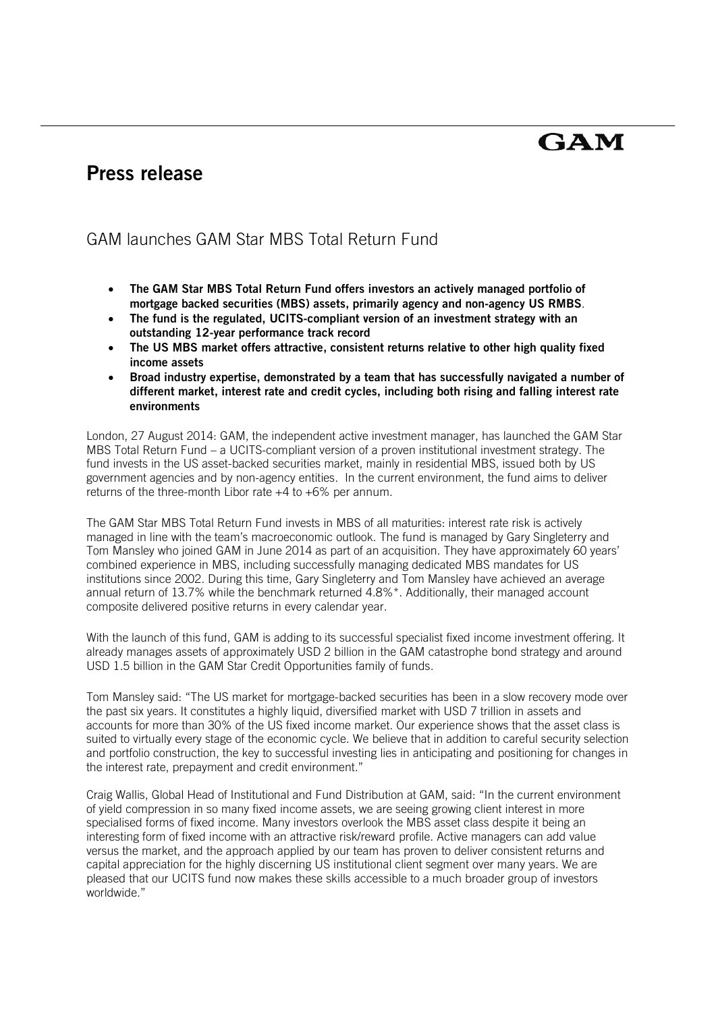# GAM

## **Press release**

### GAM launches GAM Star MBS Total Return Fund

- **The GAM Star MBS Total Return Fund offers investors an actively managed portfolio of mortgage backed securities (MBS) assets, primarily agency and non-agency US RMBS**.
- **The fund is the regulated, UCITS-compliant version of an investment strategy with an outstanding 12-year performance track record**
- **The US MBS market offers attractive, consistent returns relative to other high quality fixed income assets**
- **Broad industry expertise, demonstrated by a team that has successfully navigated a number of different market, interest rate and credit cycles, including both rising and falling interest rate environments**

London, 27 August 2014: GAM, the independent active investment manager, has launched the GAM Star MBS Total Return Fund – a UCITS-compliant version of a proven institutional investment strategy. The fund invests in the US asset-backed securities market, mainly in residential MBS, issued both by US government agencies and by non-agency entities. In the current environment, the fund aims to deliver returns of the three-month Libor rate +4 to +6% per annum.

The GAM Star MBS Total Return Fund invests in MBS of all maturities: interest rate risk is actively managed in line with the team's macroeconomic outlook. The fund is managed by Gary Singleterry and Tom Mansley who joined GAM in June 2014 as part of an acquisition. They have approximately 60 years' combined experience in MBS, including successfully managing dedicated MBS mandates for US institutions since 2002. During this time, Gary Singleterry and Tom Mansley have achieved an average annual return of 13.7% while the benchmark returned 4.8%\*. Additionally, their managed account composite delivered positive returns in every calendar year.

With the launch of this fund, GAM is adding to its successful specialist fixed income investment offering. It already manages assets of approximately USD 2 billion in the GAM catastrophe bond strategy and around USD 1.5 billion in the GAM Star Credit Opportunities family of funds.

Tom Mansley said: "The US market for mortgage-backed securities has been in a slow recovery mode over the past six years. It constitutes a highly liquid, diversified market with USD 7 trillion in assets and accounts for more than 30% of the US fixed income market. Our experience shows that the asset class is suited to virtually every stage of the economic cycle. We believe that in addition to careful security selection and portfolio construction, the key to successful investing lies in anticipating and positioning for changes in the interest rate, prepayment and credit environment."

Craig Wallis, Global Head of Institutional and Fund Distribution at GAM, said: "In the current environment of yield compression in so many fixed income assets, we are seeing growing client interest in more specialised forms of fixed income. Many investors overlook the MBS asset class despite it being an interesting form of fixed income with an attractive risk/reward profile. Active managers can add value versus the market, and the approach applied by our team has proven to deliver consistent returns and capital appreciation for the highly discerning US institutional client segment over many years. We are pleased that our UCITS fund now makes these skills accessible to a much broader group of investors worldwide."